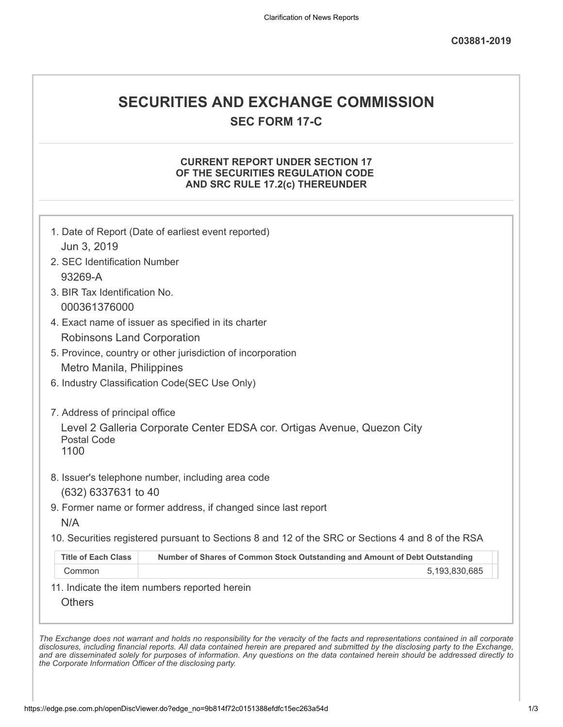# **SECURITIES AND EXCHANGE COMMISSION**

**SEC FORM 17-C**

# **CURRENT REPORT UNDER SECTION 17 OF THE SECURITIES REGULATION CODE AND SRC RULE 17.2(c) THEREUNDER**

| 2. SEC Identification Number      |                                                                                                   |
|-----------------------------------|---------------------------------------------------------------------------------------------------|
| 93269-A                           |                                                                                                   |
| 3. BIR Tax Identification No.     |                                                                                                   |
| 000361376000                      |                                                                                                   |
|                                   | 4. Exact name of issuer as specified in its charter                                               |
| <b>Robinsons Land Corporation</b> |                                                                                                   |
|                                   | 5. Province, country or other jurisdiction of incorporation                                       |
| Metro Manila, Philippines         |                                                                                                   |
|                                   | 6. Industry Classification Code(SEC Use Only)                                                     |
| 7. Address of principal office    |                                                                                                   |
| <b>Postal Code</b><br>1100        | Level 2 Galleria Corporate Center EDSA cor. Ortigas Avenue, Quezon City                           |
|                                   | 8. Issuer's telephone number, including area code                                                 |
| (632) 6337631 to 40               |                                                                                                   |
|                                   | 9. Former name or former address, if changed since last report                                    |
| N/A                               | 10. Securities registered pursuant to Sections 8 and 12 of the SRC or Sections 4 and 8 of the RSA |
|                                   |                                                                                                   |
| <b>Title of Each Class</b>        | Number of Shares of Common Stock Outstanding and Amount of Debt Outstanding                       |
| Common                            | 5,193,830,685                                                                                     |
|                                   | 11. Indicate the item numbers reported herein                                                     |

*the Corporate Information Officer of the disclosing party.*